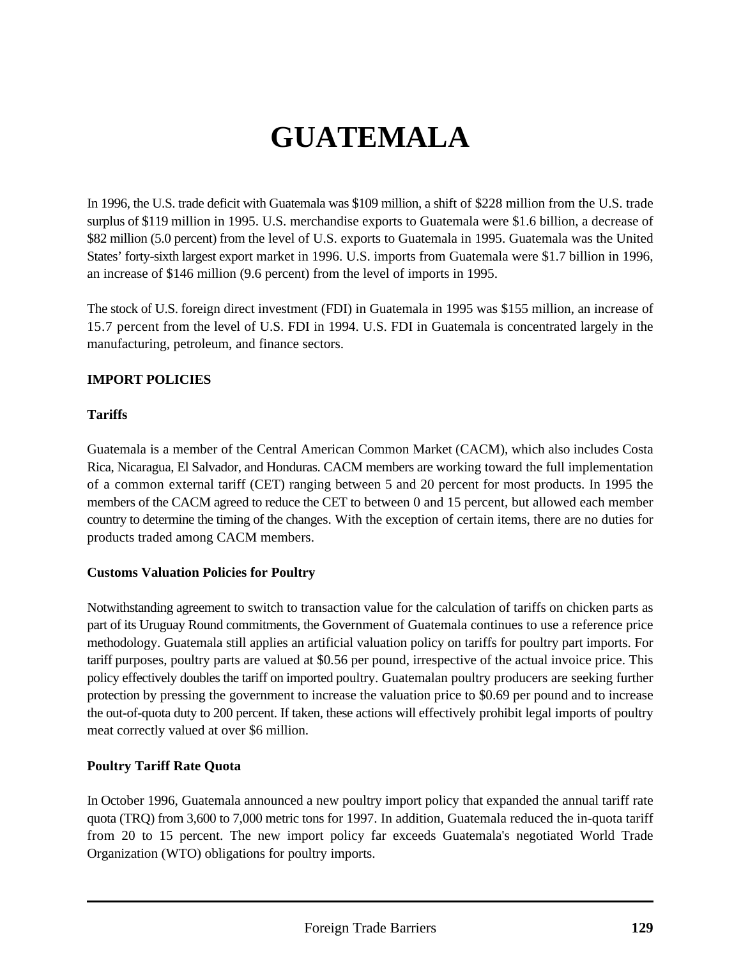# **GUATEMALA**

In 1996, the U.S. trade deficit with Guatemala was \$109 million, a shift of \$228 million from the U.S. trade surplus of \$119 million in 1995. U.S. merchandise exports to Guatemala were \$1.6 billion, a decrease of \$82 million (5.0 percent) from the level of U.S. exports to Guatemala in 1995. Guatemala was the United States' forty-sixth largest export market in 1996. U.S. imports from Guatemala were \$1.7 billion in 1996, an increase of \$146 million (9.6 percent) from the level of imports in 1995.

The stock of U.S. foreign direct investment (FDI) in Guatemala in 1995 was \$155 million, an increase of 15.7 percent from the level of U.S. FDI in 1994. U.S. FDI in Guatemala is concentrated largely in the manufacturing, petroleum, and finance sectors.

### **IMPORT POLICIES**

#### **Tariffs**

Guatemala is a member of the Central American Common Market (CACM), which also includes Costa Rica, Nicaragua, El Salvador, and Honduras. CACM members are working toward the full implementation of a common external tariff (CET) ranging between 5 and 20 percent for most products. In 1995 the members of the CACM agreed to reduce the CET to between 0 and 15 percent, but allowed each member country to determine the timing of the changes. With the exception of certain items, there are no duties for products traded among CACM members.

#### **Customs Valuation Policies for Poultry**

Notwithstanding agreement to switch to transaction value for the calculation of tariffs on chicken parts as part of its Uruguay Round commitments, the Government of Guatemala continues to use a reference price methodology. Guatemala still applies an artificial valuation policy on tariffs for poultry part imports. For tariff purposes, poultry parts are valued at \$0.56 per pound, irrespective of the actual invoice price. This policy effectively doubles the tariff on imported poultry. Guatemalan poultry producers are seeking further protection by pressing the government to increase the valuation price to \$0.69 per pound and to increase the out-of-quota duty to 200 percent. If taken, these actions will effectively prohibit legal imports of poultry meat correctly valued at over \$6 million.

#### **Poultry Tariff Rate Quota**

In October 1996, Guatemala announced a new poultry import policy that expanded the annual tariff rate quota (TRQ) from 3,600 to 7,000 metric tons for 1997. In addition, Guatemala reduced the in-quota tariff from 20 to 15 percent. The new import policy far exceeds Guatemala's negotiated World Trade Organization (WTO) obligations for poultry imports.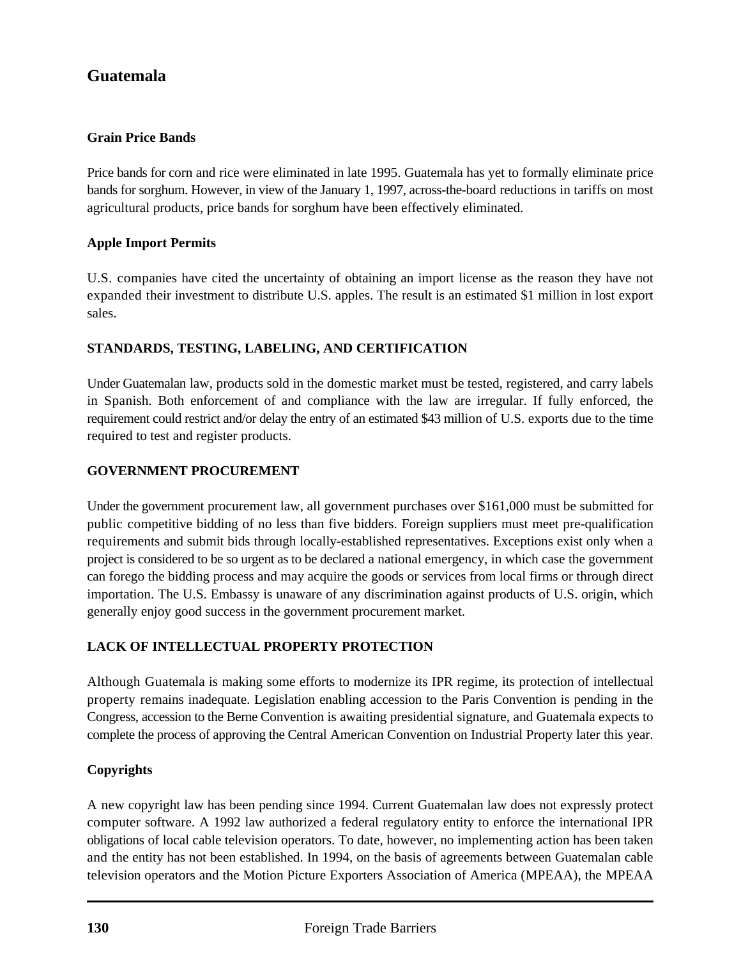## **Guatemala**

#### **Grain Price Bands**

Price bands for corn and rice were eliminated in late 1995. Guatemala has yet to formally eliminate price bands for sorghum. However, in view of the January 1, 1997, across-the-board reductions in tariffs on most agricultural products, price bands for sorghum have been effectively eliminated.

#### **Apple Import Permits**

U.S. companies have cited the uncertainty of obtaining an import license as the reason they have not expanded their investment to distribute U.S. apples. The result is an estimated \$1 million in lost export sales.

#### **STANDARDS, TESTING, LABELING, AND CERTIFICATION**

Under Guatemalan law, products sold in the domestic market must be tested, registered, and carry labels in Spanish. Both enforcement of and compliance with the law are irregular. If fully enforced, the requirement could restrict and/or delay the entry of an estimated \$43 million of U.S. exports due to the time required to test and register products.

#### **GOVERNMENT PROCUREMENT**

Under the government procurement law, all government purchases over \$161,000 must be submitted for public competitive bidding of no less than five bidders. Foreign suppliers must meet pre-qualification requirements and submit bids through locally-established representatives. Exceptions exist only when a project is considered to be so urgent as to be declared a national emergency, in which case the government can forego the bidding process and may acquire the goods or services from local firms or through direct importation. The U.S. Embassy is unaware of any discrimination against products of U.S. origin, which generally enjoy good success in the government procurement market.

#### **LACK OF INTELLECTUAL PROPERTY PROTECTION**

Although Guatemala is making some efforts to modernize its IPR regime, its protection of intellectual property remains inadequate. Legislation enabling accession to the Paris Convention is pending in the Congress, accession to the Berne Convention is awaiting presidential signature, and Guatemala expects to complete the process of approving the Central American Convention on Industrial Property later this year.

#### **Copyrights**

A new copyright law has been pending since 1994. Current Guatemalan law does not expressly protect computer software. A 1992 law authorized a federal regulatory entity to enforce the international IPR obligations of local cable television operators. To date, however, no implementing action has been taken and the entity has not been established. In 1994, on the basis of agreements between Guatemalan cable television operators and the Motion Picture Exporters Association of America (MPEAA), the MPEAA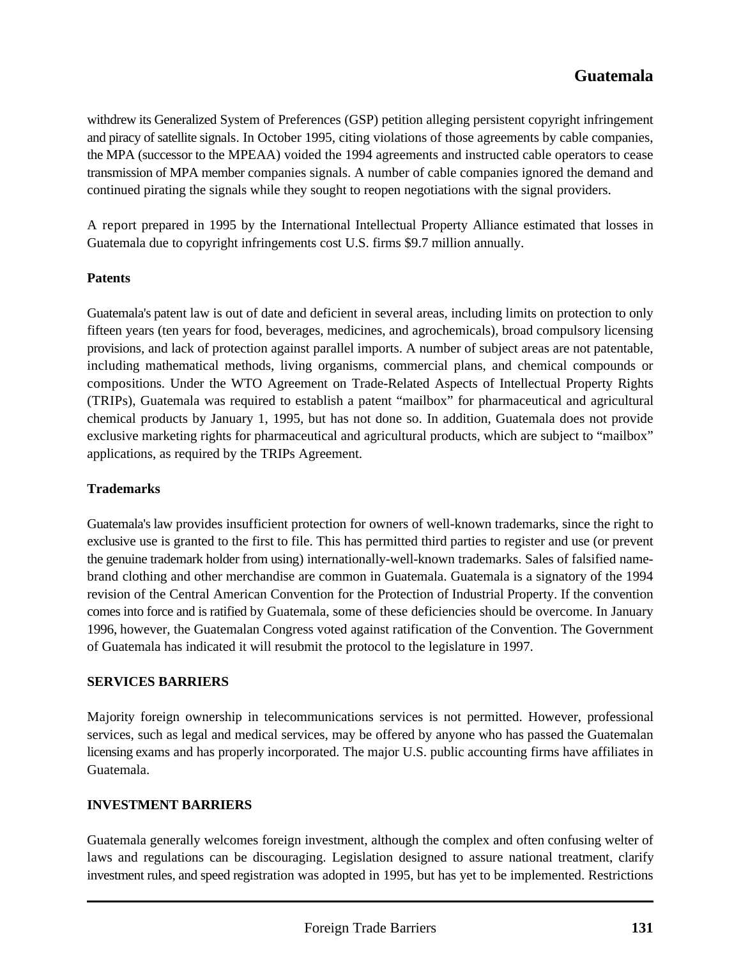withdrew its Generalized System of Preferences (GSP) petition alleging persistent copyright infringement and piracy of satellite signals. In October 1995, citing violations of those agreements by cable companies, the MPA (successor to the MPEAA) voided the 1994 agreements and instructed cable operators to cease transmission of MPA member companies signals. A number of cable companies ignored the demand and continued pirating the signals while they sought to reopen negotiations with the signal providers.

A report prepared in 1995 by the International Intellectual Property Alliance estimated that losses in Guatemala due to copyright infringements cost U.S. firms \$9.7 million annually.

#### **Patents**

Guatemala's patent law is out of date and deficient in several areas, including limits on protection to only fifteen years (ten years for food, beverages, medicines, and agrochemicals), broad compulsory licensing provisions, and lack of protection against parallel imports. A number of subject areas are not patentable, including mathematical methods, living organisms, commercial plans, and chemical compounds or compositions. Under the WTO Agreement on Trade-Related Aspects of Intellectual Property Rights (TRIPs), Guatemala was required to establish a patent "mailbox" for pharmaceutical and agricultural chemical products by January 1, 1995, but has not done so. In addition, Guatemala does not provide exclusive marketing rights for pharmaceutical and agricultural products, which are subject to "mailbox" applications, as required by the TRIPs Agreement.

## **Trademarks**

Guatemala's law provides insufficient protection for owners of well-known trademarks, since the right to exclusive use is granted to the first to file. This has permitted third parties to register and use (or prevent the genuine trademark holder from using) internationally-well-known trademarks. Sales of falsified namebrand clothing and other merchandise are common in Guatemala. Guatemala is a signatory of the 1994 revision of the Central American Convention for the Protection of Industrial Property. If the convention comes into force and is ratified by Guatemala, some of these deficiencies should be overcome. In January 1996, however, the Guatemalan Congress voted against ratification of the Convention. The Government of Guatemala has indicated it will resubmit the protocol to the legislature in 1997.

#### **SERVICES BARRIERS**

Majority foreign ownership in telecommunications services is not permitted. However, professional services, such as legal and medical services, may be offered by anyone who has passed the Guatemalan licensing exams and has properly incorporated. The major U.S. public accounting firms have affiliates in Guatemala.

## **INVESTMENT BARRIERS**

Guatemala generally welcomes foreign investment, although the complex and often confusing welter of laws and regulations can be discouraging. Legislation designed to assure national treatment, clarify investment rules, and speed registration was adopted in 1995, but has yet to be implemented. Restrictions